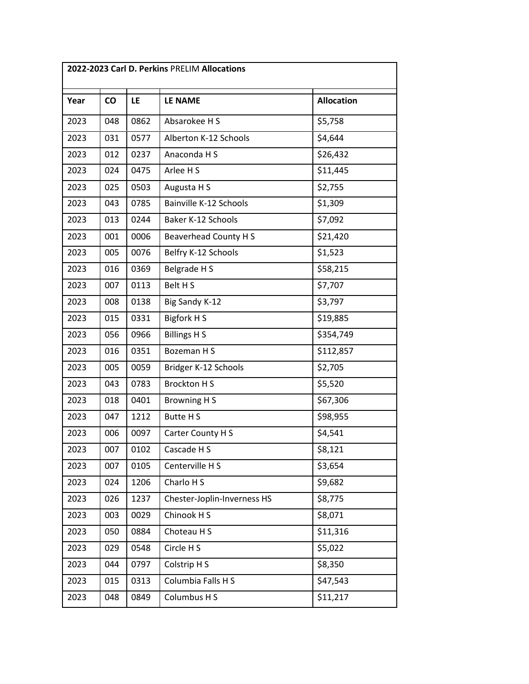| 2022-2023 Carl D. Perkins PRELIM Allocations |     |      |                              |                   |
|----------------------------------------------|-----|------|------------------------------|-------------------|
| Year                                         | co  | LE   | LE NAME                      | <b>Allocation</b> |
| 2023                                         | 048 | 0862 | Absarokee H S                | \$5,758           |
| 2023                                         | 031 | 0577 | Alberton K-12 Schools        | \$4,644           |
| 2023                                         | 012 | 0237 | Anaconda H S                 | \$26,432          |
| 2023                                         | 024 | 0475 | Arlee H S                    | \$11,445          |
| 2023                                         | 025 | 0503 | Augusta H S                  | \$2,755           |
| 2023                                         | 043 | 0785 | Bainville K-12 Schools       | \$1,309           |
| 2023                                         | 013 | 0244 | Baker K-12 Schools           | \$7,092           |
| 2023                                         | 001 | 0006 | <b>Beaverhead County H S</b> | \$21,420          |
| 2023                                         | 005 | 0076 | Belfry K-12 Schools          | \$1,523           |
| 2023                                         | 016 | 0369 | Belgrade H S                 | \$58,215          |
| 2023                                         | 007 | 0113 | Belt H S                     | \$7,707           |
| 2023                                         | 008 | 0138 | Big Sandy K-12               | \$3,797           |
| 2023                                         | 015 | 0331 | Bigfork H S                  | \$19,885          |
| 2023                                         | 056 | 0966 | <b>Billings H S</b>          | \$354,749         |
| 2023                                         | 016 | 0351 | Bozeman H S                  | \$112,857         |
| 2023                                         | 005 | 0059 | Bridger K-12 Schools         | \$2,705           |
| 2023                                         | 043 | 0783 | <b>Brockton HS</b>           | \$5,520           |
| 2023                                         | 018 | 0401 | <b>Browning HS</b>           | \$67,306          |
| 2023                                         | 047 | 1212 | Butte H S                    | \$98,955          |
| 2023                                         | 006 | 0097 | Carter County H S            | \$4,541           |
| 2023                                         | 007 | 0102 | Cascade H S                  | \$8,121           |
| 2023                                         | 007 | 0105 | Centerville H S              | \$3,654           |
| 2023                                         | 024 | 1206 | Charlo H S                   | \$9,682           |
| 2023                                         | 026 | 1237 | Chester-Joplin-Inverness HS  | \$8,775           |
| 2023                                         | 003 | 0029 | Chinook H S                  | \$8,071           |
| 2023                                         | 050 | 0884 | Choteau H S                  | \$11,316          |
| 2023                                         | 029 | 0548 | Circle H S                   | \$5,022           |
| 2023                                         | 044 | 0797 | Colstrip H S                 | \$8,350           |
| 2023                                         | 015 | 0313 | Columbia Falls H S           | \$47,543          |
| 2023                                         | 048 | 0849 | Columbus H S                 | \$11,217          |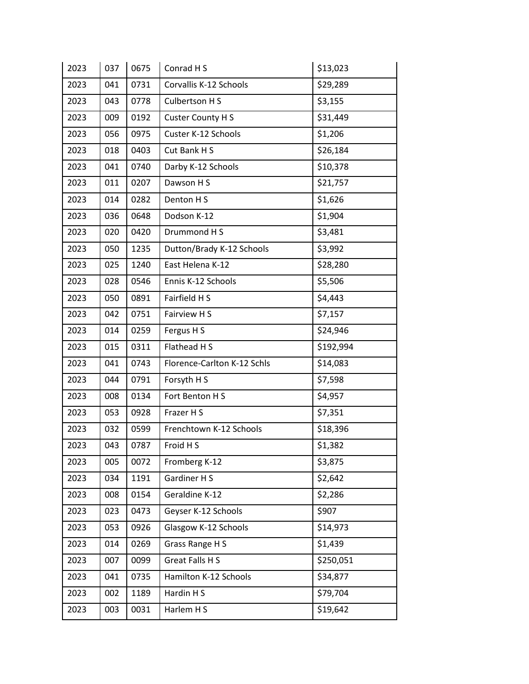| 2023 | 037 | 0675 | Conrad H S                  | \$13,023  |
|------|-----|------|-----------------------------|-----------|
| 2023 | 041 | 0731 | Corvallis K-12 Schools      | \$29,289  |
| 2023 | 043 | 0778 | Culbertson H S              | \$3,155   |
| 2023 | 009 | 0192 | Custer County H S           | \$31,449  |
| 2023 | 056 | 0975 | Custer K-12 Schools         | \$1,206   |
| 2023 | 018 | 0403 | Cut Bank H S                | \$26,184  |
| 2023 | 041 | 0740 | Darby K-12 Schools          | \$10,378  |
| 2023 | 011 | 0207 | Dawson H S                  | \$21,757  |
| 2023 | 014 | 0282 | Denton H S                  | \$1,626   |
| 2023 | 036 | 0648 | Dodson K-12                 | \$1,904   |
| 2023 | 020 | 0420 | Drummond H S                | \$3,481   |
| 2023 | 050 | 1235 | Dutton/Brady K-12 Schools   | \$3,992   |
| 2023 | 025 | 1240 | East Helena K-12            | \$28,280  |
| 2023 | 028 | 0546 | Ennis K-12 Schools          | \$5,506   |
| 2023 | 050 | 0891 | Fairfield H S               | \$4,443   |
| 2023 | 042 | 0751 | Fairview H S                | \$7,157   |
| 2023 | 014 | 0259 | Fergus H S                  | \$24,946  |
| 2023 | 015 | 0311 | Flathead H S                | \$192,994 |
| 2023 | 041 | 0743 | Florence-Carlton K-12 Schls | \$14,083  |
| 2023 | 044 | 0791 | Forsyth H S                 | \$7,598   |
| 2023 | 008 | 0134 | Fort Benton H S             | \$4,957   |
| 2023 | 053 | 0928 | Frazer H S                  | \$7,351   |
| 2023 | 032 | 0599 | Frenchtown K-12 Schools     | \$18,396  |
| 2023 | 043 | 0787 | Froid H S                   | \$1,382   |
| 2023 | 005 | 0072 | Fromberg K-12               | \$3,875   |
| 2023 | 034 | 1191 | Gardiner H S                | \$2,642   |
| 2023 | 008 | 0154 | Geraldine K-12              | \$2,286   |
| 2023 | 023 | 0473 | Geyser K-12 Schools         | \$907     |
| 2023 | 053 | 0926 | Glasgow K-12 Schools        | \$14,973  |
| 2023 | 014 | 0269 | Grass Range H S             | \$1,439   |
| 2023 | 007 | 0099 | <b>Great Falls HS</b>       | \$250,051 |
| 2023 | 041 | 0735 | Hamilton K-12 Schools       | \$34,877  |
| 2023 | 002 | 1189 | Hardin H S                  | \$79,704  |
| 2023 | 003 | 0031 | Harlem H S                  | \$19,642  |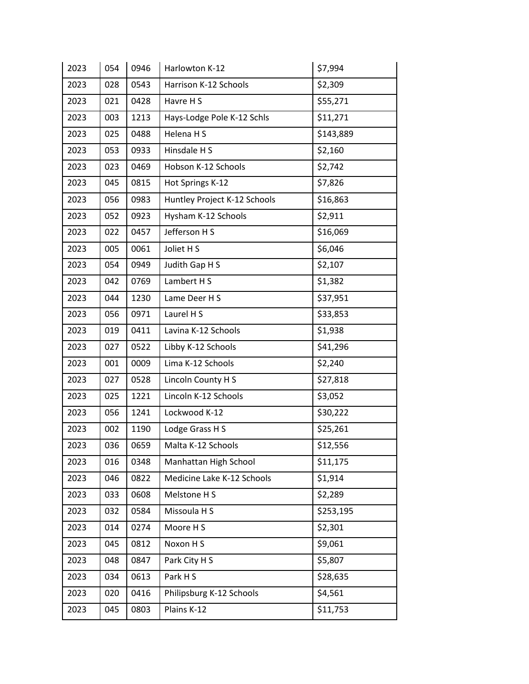| 2023 | 054 | 0946 | Harlowton K-12               | \$7,994   |
|------|-----|------|------------------------------|-----------|
| 2023 | 028 | 0543 | Harrison K-12 Schools        | \$2,309   |
| 2023 | 021 | 0428 | Havre H S                    | \$55,271  |
| 2023 | 003 | 1213 | Hays-Lodge Pole K-12 Schls   | \$11,271  |
| 2023 | 025 | 0488 | Helena H S                   | \$143,889 |
| 2023 | 053 | 0933 | Hinsdale H S                 | \$2,160   |
| 2023 | 023 | 0469 | Hobson K-12 Schools          | \$2,742   |
| 2023 | 045 | 0815 | Hot Springs K-12             | \$7,826   |
| 2023 | 056 | 0983 | Huntley Project K-12 Schools | \$16,863  |
| 2023 | 052 | 0923 | Hysham K-12 Schools          | \$2,911   |
| 2023 | 022 | 0457 | Jefferson H S                | \$16,069  |
| 2023 | 005 | 0061 | Joliet H S                   | \$6,046   |
| 2023 | 054 | 0949 | Judith Gap H S               | \$2,107   |
| 2023 | 042 | 0769 | Lambert H S                  | \$1,382   |
| 2023 | 044 | 1230 | Lame Deer H S                | \$37,951  |
| 2023 | 056 | 0971 | Laurel H S                   | \$33,853  |
| 2023 | 019 | 0411 | Lavina K-12 Schools          | \$1,938   |
| 2023 | 027 | 0522 | Libby K-12 Schools           | \$41,296  |
| 2023 | 001 | 0009 | Lima K-12 Schools            | \$2,240   |
| 2023 | 027 | 0528 | Lincoln County H S           | \$27,818  |
| 2023 | 025 | 1221 | Lincoln K-12 Schools         | \$3,052   |
| 2023 | 056 | 1241 | Lockwood K-12                | \$30,222  |
| 2023 | 002 | 1190 | Lodge Grass H S              | \$25,261  |
| 2023 | 036 | 0659 | Malta K-12 Schools           | \$12,556  |
| 2023 | 016 | 0348 | Manhattan High School        | \$11,175  |
| 2023 | 046 | 0822 | Medicine Lake K-12 Schools   | \$1,914   |
| 2023 | 033 | 0608 | Melstone H S                 | \$2,289   |
| 2023 | 032 | 0584 | Missoula H S                 | \$253,195 |
| 2023 | 014 | 0274 | Moore H S                    | \$2,301   |
| 2023 | 045 | 0812 | Noxon H S                    | \$9,061   |
| 2023 | 048 | 0847 | Park City H S                | \$5,807   |
| 2023 | 034 | 0613 | Park HS                      | \$28,635  |
| 2023 | 020 | 0416 | Philipsburg K-12 Schools     | \$4,561   |
| 2023 | 045 | 0803 | Plains K-12                  | \$11,753  |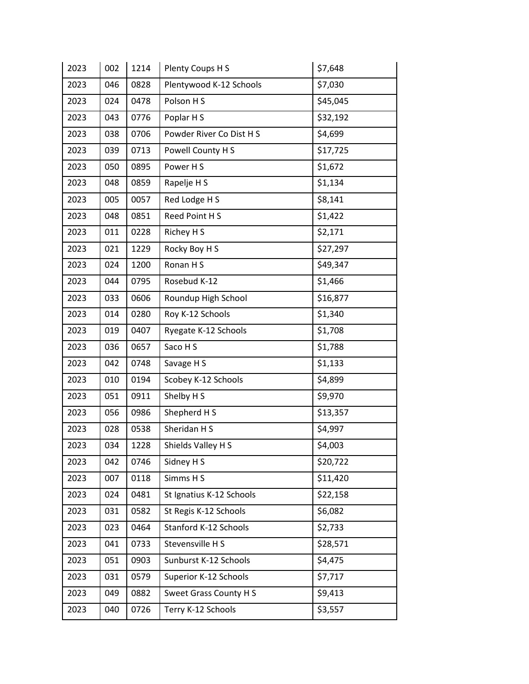| 2023 | 002 | 1214 | Plenty Coups H S         | \$7,648  |
|------|-----|------|--------------------------|----------|
| 2023 | 046 | 0828 | Plentywood K-12 Schools  | \$7,030  |
| 2023 | 024 | 0478 | Polson H S               | \$45,045 |
| 2023 | 043 | 0776 | Poplar H S               | \$32,192 |
| 2023 | 038 | 0706 | Powder River Co Dist H S | \$4,699  |
| 2023 | 039 | 0713 | Powell County H S        | \$17,725 |
| 2023 | 050 | 0895 | Power HS                 | \$1,672  |
| 2023 | 048 | 0859 | Rapelje H S              | \$1,134  |
| 2023 | 005 | 0057 | Red Lodge H S            | \$8,141  |
| 2023 | 048 | 0851 | Reed Point H S           | \$1,422  |
| 2023 | 011 | 0228 | Richey H S               | \$2,171  |
| 2023 | 021 | 1229 | Rocky Boy H S            | \$27,297 |
| 2023 | 024 | 1200 | Ronan H S                | \$49,347 |
| 2023 | 044 | 0795 | Rosebud K-12             | \$1,466  |
| 2023 | 033 | 0606 | Roundup High School      | \$16,877 |
| 2023 | 014 | 0280 | Roy K-12 Schools         | \$1,340  |
| 2023 | 019 | 0407 | Ryegate K-12 Schools     | \$1,708  |
| 2023 | 036 | 0657 | Saco H S                 | \$1,788  |
| 2023 | 042 | 0748 | Savage H S               | \$1,133  |
| 2023 | 010 | 0194 | Scobey K-12 Schools      | \$4,899  |
| 2023 | 051 | 0911 | Shelby H S               | \$9,970  |
| 2023 | 056 | 0986 | Shepherd H S             | \$13,357 |
| 2023 | 028 | 0538 | Sheridan H S             | \$4,997  |
| 2023 | 034 | 1228 | Shields Valley H S       | \$4,003  |
| 2023 | 042 | 0746 | Sidney H S               | \$20,722 |
| 2023 | 007 | 0118 | Simms H S                | \$11,420 |
| 2023 | 024 | 0481 | St Ignatius K-12 Schools | \$22,158 |
| 2023 | 031 | 0582 | St Regis K-12 Schools    | \$6,082  |
| 2023 | 023 | 0464 | Stanford K-12 Schools    | \$2,733  |
| 2023 | 041 | 0733 | Stevensville H S         | \$28,571 |
| 2023 | 051 | 0903 | Sunburst K-12 Schools    | \$4,475  |
| 2023 | 031 | 0579 | Superior K-12 Schools    | \$7,717  |
| 2023 | 049 | 0882 | Sweet Grass County H S   | \$9,413  |
| 2023 | 040 | 0726 | Terry K-12 Schools       | \$3,557  |